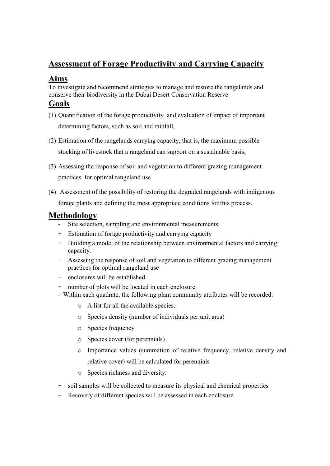# **Assessment of Forage Productivity and Carrying Capacity**

### **Aims**

To investigate and recommend strategies to manage and restore the rangelands and conserve their biodiversity in the Dubai Desert Conservation Reserve

### **Goals**

- (1) Quantification of the forage productivity and evaluation of impact of important determining factors, such as soil and rainfall,
- (2) Estimation of the rangelands carrying capacity, that is, the maximum possible stocking of livestock that a rangeland can support on a sustainable basis,
- (3) Assessing the response of soil and vegetation to different grazing management practices for optimal rangeland use
- (4) Assessment of the possibility of restoring the degraded rangelands with indigenous forage plants and defining the most appropriate conditions for this process.

#### **Methodology**

- *-* Site selection, sampling and environmental measurements
- *-* Estimation of forage productivity and carrying capacity
- *-* Building a model of the relationship between environmental factors and carrying capacity.
- *-* Assessing the response of soil and vegetation to different grazing management practices for optimal rangeland use
- *-* enclosures will be established
- *-* number of plots will be located in each enclosure
- *-* Within each quadrate, the following plant community attributes will be recorded:
	- o A list for all the available species.
	- o Species density (number of individuals per unit area)
	- o Species frequency
	- o Species cover (for perennials)
	- o Importance values (summation of relative frequency, relative density and relative cover) will be calculated for perennials
	- o Species richness and diversity.
- *-* soil samples will be collected to measure its physical and chemical properties
- *-* Recovery of different species will be assessed in each enclosure